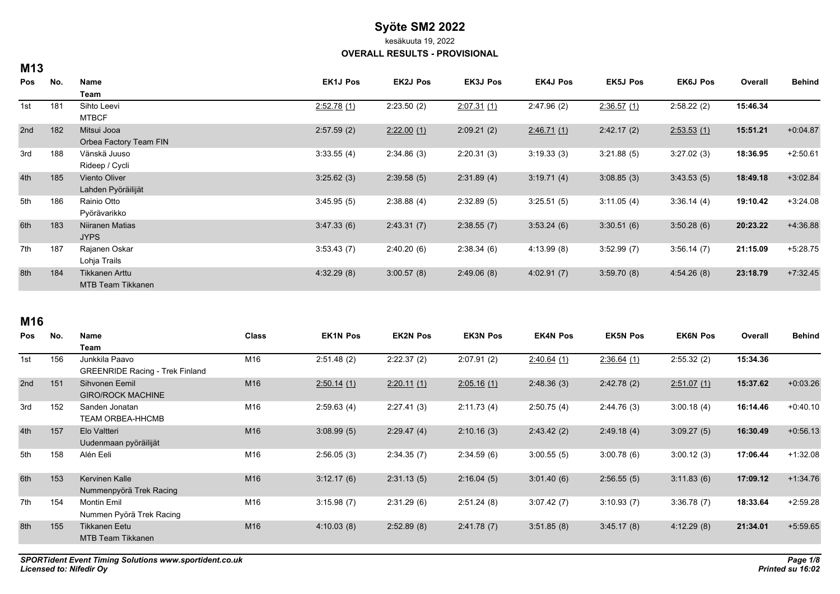kesäkuuta 19, 2022

#### **OVERALL RESULTS - PROVISIONAL**

| M13 |     |                          |                 |                 |                 |                 |                 |                 |          |               |
|-----|-----|--------------------------|-----------------|-----------------|-----------------|-----------------|-----------------|-----------------|----------|---------------|
| Pos | No. | Name                     | <b>EK1J Pos</b> | <b>EK2J Pos</b> | <b>EK3J Pos</b> | <b>EK4J Pos</b> | <b>EK5J Pos</b> | <b>EK6J Pos</b> | Overall  | <b>Behind</b> |
|     |     | Team                     |                 |                 |                 |                 |                 |                 |          |               |
| 1st | 181 | Sihto Leevi              | 2.52.78(1)      | 2:23.50(2)      | 2:07.31(1)      | 2:47.96(2)      | 2:36.57(1)      | 2:58.22(2)      | 15:46.34 |               |
|     |     | <b>MTBCF</b>             |                 |                 |                 |                 |                 |                 |          |               |
| 2nd | 182 | Mitsui Jooa              | 2:57.59(2)      | 2.22.00(1)      | 2:09.21(2)      | 2:46.71(1)      | 2:42.17(2)      | 2:53.53(1)      | 15:51.21 | $+0.04.87$    |
|     |     | Orbea Factory Team FIN   |                 |                 |                 |                 |                 |                 |          |               |
| 3rd | 188 | Vänskä Juuso             | 3:33.55(4)      | 2:34.86(3)      | 2:20.31(3)      | 3:19.33(3)      | 3:21.88(5)      | 3:27.02(3)      | 18:36.95 | $+2:50.61$    |
|     |     | Rideep / Cycli           |                 |                 |                 |                 |                 |                 |          |               |
| 4th | 185 | Viento Oliver            | 3:25.62(3)      | 2:39.58(5)      | 2:31.89(4)      | 3:19.71(4)      | 3:08.85(3)      | 3.43.53(5)      | 18:49.18 | $+3.02.84$    |
|     |     | Lahden Pyöräilijät       |                 |                 |                 |                 |                 |                 |          |               |
| 5th | 186 | Rainio Otto              | 3:45.95(5)      | 2:38.88(4)      | 2:32.89(5)      | 3:25.51(5)      | 3:11.05(4)      | 3.36.14(4)      | 19:10.42 | $+3:24.08$    |
|     |     | Pyörävarikko             |                 |                 |                 |                 |                 |                 |          |               |
| 6th | 183 | Niiranen Matias          | 3.47.33(6)      | 2:43.31(7)      | 2:38.55(7)      | 3.53.24(6)      | 3:30.51(6)      | 3:50.28(6)      | 20:23.22 | +4:36.88      |
|     |     | <b>JYPS</b>              |                 |                 |                 |                 |                 |                 |          |               |
| 7th | 187 | Rajanen Oskar            | 3:53.43(7)      | 2:40.20(6)      | 2:38.34(6)      | 4:13.99(8)      | 3:52.99(7)      | 3.56.14(7)      | 21:15.09 | $+5:28.75$    |
|     |     | Lohja Trails             |                 |                 |                 |                 |                 |                 |          |               |
| 8th | 184 | Tikkanen Arttu           | 4:32.29(8)      | 3:00.57(8)      | 2:49.06(8)      | 4:02.91(7)      | 3:59.70(8)      | 4:54.26(8)      | 23:18.79 | $+7:32.45$    |
|     |     | <b>MTB Team Tikkanen</b> |                 |                 |                 |                 |                 |                 |          |               |

## **M16**

| Junkkila Paavo                         |     |                                               |                                                                                                |            |            |            |            |          |            |
|----------------------------------------|-----|-----------------------------------------------|------------------------------------------------------------------------------------------------|------------|------------|------------|------------|----------|------------|
|                                        |     |                                               |                                                                                                |            |            |            |            |          |            |
|                                        | M16 | 2:51.48(2)                                    | 2:22.37(2)                                                                                     | 2:07.91(2) | 2:40.64(1) | 2:36.64(1) | 2:55.32(2) | 15:34.36 |            |
| <b>GREENRIDE Racing - Trek Finland</b> |     |                                               |                                                                                                |            |            |            |            |          |            |
| Sihvonen Eemil                         |     |                                               | 2:20.11(1)                                                                                     | 2:05.16(1) | 2:48.36(3) | 2:42.78(2) | 2:51.07(1) | 15:37.62 | $+0.03.26$ |
| <b>GIRO/ROCK MACHINE</b>               |     |                                               |                                                                                                |            |            |            |            |          |            |
| Sanden Jonatan                         |     |                                               | 2:27.41(3)                                                                                     | 2:11.73(4) | 2:50.75(4) | 2.44.76(3) | 3.00.18(4) | 16:14.46 | $+0.40.10$ |
| TEAM ORBEA-HHCMB                       |     |                                               |                                                                                                |            |            |            |            |          |            |
| Elo Valtteri                           |     |                                               | 2:29.47(4)                                                                                     | 2:10.16(3) | 2.43.42(2) | 2:49.18(4) | 3.09.27(5) | 16:30.49 | $+0.56.13$ |
| Uudenmaan pyöräilijät                  |     |                                               |                                                                                                |            |            |            |            |          |            |
| Alén Eeli                              |     |                                               | 2:34.35(7)                                                                                     | 2:34.59(6) |            | 3:00.78(6) | 3:00.12(3) | 17:06.44 | $+1:32.08$ |
|                                        |     |                                               |                                                                                                |            |            |            |            |          |            |
| Kervinen Kalle                         |     |                                               | 2:31.13(5)                                                                                     | 2:16.04(5) | 3:01.40(6) | 2:56.55(5) | 3:11.83(6) | 17:09.12 | $+1.34.76$ |
| Nummenpyörä Trek Racing                |     |                                               |                                                                                                |            |            |            |            |          |            |
| <b>Montin Emil</b>                     |     |                                               | 2:31.29(6)                                                                                     | 2:51.24(8) | 3:07.42(7) | 3:10.93(7) | 3:36.78(7) | 18:33.64 | $+2:59.28$ |
| Nummen Pyörä Trek Racing               |     |                                               |                                                                                                |            |            |            |            |          |            |
| <b>Tikkanen Eetu</b>                   |     |                                               | 2:52.89(8)                                                                                     | 2:41.78(7) | 3.51.85(8) | 3:45.17(8) | 4:12.29(8) | 21:34.01 | $+5.59.65$ |
| <b>MTB Team Tikkanen</b>               |     |                                               |                                                                                                |            |            |            |            |          |            |
|                                        |     | M16<br>M16<br>M16<br>M16<br>M16<br>M16<br>M16 | 2:50.14(1)<br>2:59.63(4)<br>3:08.99(5)<br>2:56.05(3)<br>3:12.17(6)<br>3:15.98(7)<br>4:10.03(8) |            |            | 3:00.55(5) |            |          |            |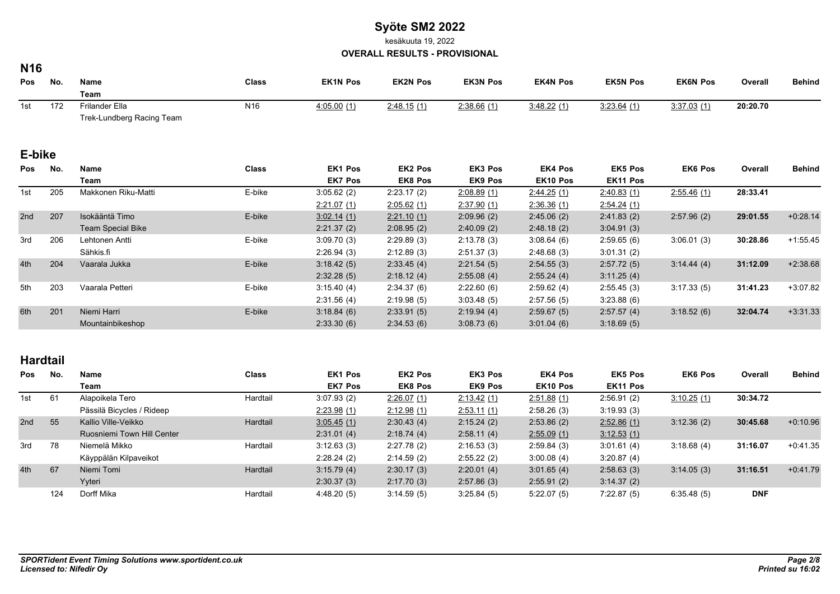kesäkuuta 19, 2022

**OVERALL RESULTS - PROVISIONAL**

### **N16**

| <b>Pos</b> | No.             | Name                      | <b>Class</b>    | <b>EK1N Pos</b> | <b>EK2N Pos</b> | <b>EK3N Pos</b> | <b>EK4N Pos</b> | <b>EK5N Pos</b> | <b>EK6N Pos</b> | Overall    | <b>Behind</b> |
|------------|-----------------|---------------------------|-----------------|-----------------|-----------------|-----------------|-----------------|-----------------|-----------------|------------|---------------|
|            |                 | Team                      |                 |                 |                 |                 |                 |                 |                 |            |               |
| 1st        | 172             | Frilander Ella            | N <sub>16</sub> | 4.05.00(1)      | 2:48.15(1)      | 2:38.66(1)      | 3:48.22(1)      | 3.23.64(1)      | 3:37.03(1)      | 20:20.70   |               |
|            |                 | Trek-Lundberg Racing Team |                 |                 |                 |                 |                 |                 |                 |            |               |
| E-bike     |                 |                           |                 |                 |                 |                 |                 |                 |                 |            |               |
| Pos        | No.             | Name                      | <b>Class</b>    | <b>EK1 Pos</b>  | <b>EK2 Pos</b>  | EK3 Pos         | <b>EK4 Pos</b>  | <b>EK5 Pos</b>  | <b>EK6 Pos</b>  | Overall    | <b>Behind</b> |
|            |                 | Team                      |                 | <b>EK7 Pos</b>  | <b>EK8 Pos</b>  | <b>EK9 Pos</b>  | EK10 Pos        | EK11 Pos        |                 |            |               |
| 205<br>1st |                 | Makkonen Riku-Matti       | E-bike          | 3:05.62(2)      | 2:23.17(2)      | 2.08.89(1)      | 2.44.25(1)      | 2.40.83(1)      | 2.55.46(1)      | 28:33.41   |               |
|            |                 |                           | 2:21.07(1)      | 2:05.62(1)      | 2.37.90(1)      | 2:36.36(1)      | 2.54.24(1)      |                 |                 |            |               |
| 2nd        | 207             | Isokääntä Timo            | E-bike          | 3:02.14(1)      | 2:21.10(1)      | 2.09.96(2)      | 2.45.06(2)      | 2:41.83(2)      | 2.57.96(2)      | 29:01.55   | $+0.28.14$    |
|            |                 | <b>Team Special Bike</b>  |                 | 2:21.37(2)      | 2:08.95(2)      | 2.40.09(2)      | 2:48.18(2)      | 3.04.91(3)      |                 |            |               |
| 3rd        | 206             | Lehtonen Antti            | E-bike          | 3:09.70(3)      | 2:29.89(3)      | 2:13.78(3)      | 3.08.64(6)      | 2:59.65(6)      | 3:06.01(3)      | 30:28.86   | $+1:55.45$    |
|            |                 | Sähkis fi                 |                 | 2:26.94(3)      | 2:12.89(3)      | 2:51.37(3)      | 2:48.68(3)      | 3:01.31(2)      |                 |            |               |
| 4th        | 204             | Vaarala Jukka             | E-bike          | 3:18.42(5)      | 2:33.45(4)      | 2:21.54(5)      | 2:54.55(3)      | 2:57.72(5)      | 3.14.44(4)      | 31:12.09   | $+2:38.68$    |
|            |                 |                           |                 | 2:32.28(5)      | 2:18.12(4)      | 2:55.08(4)      | 2.55.24(4)      | 3:11.25(4)      |                 |            |               |
| 5th<br>203 | Vaarala Petteri | E-bike                    | 3:15.40(4)      | 2:34.37(6)      | 2:22.60(6)      | 2:59.62(4)      | 2:55.45(3)      | 3:17.33(5)      | 31:41.23        | $+3:07.82$ |               |
|            |                 |                           | 2:31.56(4)      | 2:19.98(5)      | 3.03.48(5)      | 2.57.56(5)      | 3.23.88(6)      |                 |                 |            |               |
| 6th        | 201             | Niemi Harri               | E-bike          | 3:18.84(6)      | 2:33.91(5)      | 2.19.94(4)      | 2:59.67(5)      | 2:57.57(4)      | 3:18.52(6)      | 32:04.74   | $+3:31.33$    |
|            |                 | Mountainbikeshop          |                 | 2:33.30(6)      | 2:34.53(6)      | 3.08.73(6)      | 3.01.04(6)      | 3:18.69(5)      |                 |            |               |
|            |                 |                           |                 |                 |                 |                 |                 |                 |                 |            |               |

## **Hardtail**

| Pos | No. | <b>Name</b>                | <b>Class</b> | <b>EK1 Pos</b> | <b>EK2 Pos</b> | EK3 Pos     | <b>EK4 Pos</b> | <b>EK5 Pos</b> | <b>EK6 Pos</b> | Overall    | <b>Behind</b> |
|-----|-----|----------------------------|--------------|----------------|----------------|-------------|----------------|----------------|----------------|------------|---------------|
|     |     | Team                       |              | <b>EK7 Pos</b> | <b>EK8 Pos</b> | EK9 Pos     | EK10 Pos       | EK11 Pos       |                |            |               |
| 1st | 61  | Alapoikela Tero            | Hardtail     | 3:07.93(2)     | 2:26.07(1)     | 2:13.42 (1) | 2.51.88(1)     | 2:56.91(2)     | 3.10.25(1)     | 30:34.72   |               |
|     |     | Pässilä Bicycles / Rideep  |              | 2:23.98(1)     | 2.12.98(1)     | 2.53.11(1)  | 2:58.26(3)     | 3.19.93(3)     |                |            |               |
| 2nd | 55  | Kallio Ville-Veikko        | Hardtail     | 3.05.45(1)     | 2:30.43(4)     | 2:15.24(2)  | 2:53.86(2)     | 2.52.86(1)     | 3:12.36(2)     | 30:45.68   | $+0:10.96$    |
|     |     | Ruosniemi Town Hill Center |              | 2:31.01(4)     | 2:18.74(4)     | 2:58.11(4)  | 2:55.09(1)     | 3.12.53(1)     |                |            |               |
| 3rd | 78  | Niemelä Mikko              | Hardtail     | 3:12.63(3)     | 2:27.78(2)     | 2:16.53(3)  | 2:59.84(3)     | 3:01.61(4)     | 3:18.68(4)     | 31:16.07   | $+0.41.35$    |
|     |     | Käyppälän Kilpaveikot      |              | 2:28.24(2)     | 2:14.59(2)     | 2:55.22(2)  | 3:00.08(4)     | 3:20.87(4)     |                |            |               |
| 4th | 67  | Niemi Tomi                 | Hardtail     | 3:15.79(4)     | 2:30.17(3)     | 2:20.01(4)  | 3:01.65(4)     | 2:58.63(3)     | 3:14.05(3)     | 31:16.51   | $+0.41.79$    |
|     |     | Yyteri                     |              | 2:30.37(3)     | 2:17.70(3)     | 2:57.86(3)  | 2:55.91(2)     | 3.14.37(2)     |                |            |               |
|     | 124 | Dorff Mika                 | Hardtail     | 4:48.20(5)     | 3:14.59(5)     | 3:25.84(5)  | 5:22.07(5)     | 7:22.87(5)     | 6.35.48(5)     | <b>DNF</b> |               |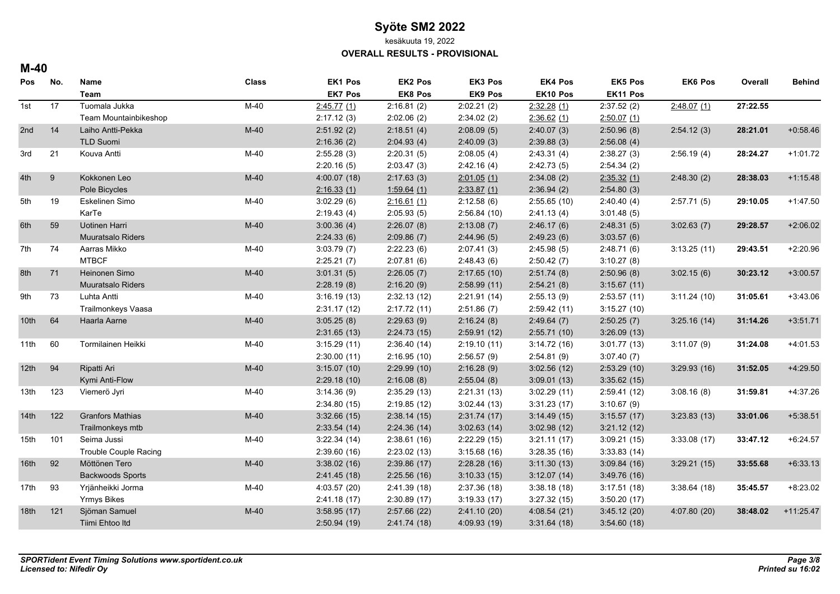kesäkuuta 19, 2022

**OVERALL RESULTS - PROVISIONAL**

#### **M-40**

| Pos              | No. | Name                         | <b>Class</b> | EK1 Pos        | EK2 Pos     | EK3 Pos        | <b>EK4 Pos</b> | <b>EK5 Pos</b> | <b>EK6 Pos</b> | Overall  | <b>Behind</b> |
|------------------|-----|------------------------------|--------------|----------------|-------------|----------------|----------------|----------------|----------------|----------|---------------|
|                  |     | <b>Team</b>                  |              | <b>EK7 Pos</b> | EK8 Pos     | <b>EK9 Pos</b> | EK10 Pos       | EK11 Pos       |                |          |               |
| 1st              | 17  | Tuomala Jukka                | $M-40$       | 2:45.77(1)     | 2:16.81(2)  | 2:02.21(2)     | 2.32.28(1)     | 2:37.52(2)     | 2.48.07(1)     | 27:22.55 |               |
|                  |     | Team Mountainbikeshop        |              | 2:17.12(3)     | 2:02.06(2)  | 2:34.02(2)     | 2.36.62(1)     | 2:50.07(1)     |                |          |               |
| 2nd              | 14  | Laiho Antti-Pekka            | $M-40$       | 2:51.92(2)     | 2:18.51(4)  | 2:08.09(5)     | 2:40.07(3)     | 2:50.96(8)     | 2:54.12(3)     | 28:21.01 | $+0.58.46$    |
|                  |     | TLD Suomi                    |              | 2:16.36(2)     | 2.04.93(4)  | 2:40.09(3)     | 2:39.88(3)     | 2:56.08(4)     |                |          |               |
| 3rd              | 21  | Kouva Antti                  | $M-40$       | 2:55.28(3)     | 2:20.31(5)  | 2:08.05(4)     | 2:43.31(4)     | 2:38.27(3)     | 2:56.19(4)     | 28:24.27 | $+1:01.72$    |
|                  |     |                              |              | 2:20.16(5)     | 2:03.47(3)  | 2.42.16(4)     | 2:42.73(5)     | 2:54.34(2)     |                |          |               |
| 4th              | 9   | Kokkonen Leo                 | $M-40$       | 4:00.07(18)    | 2:17.63(3)  | 2:01.05(1)     | 2.34.08(2)     | 2:35.32(1)     | 2.48.30(2)     | 28:38.03 | $+1:15.48$    |
|                  |     | Pole Bicycles                |              | 2:16.33(1)     | 1:59.64(1)  | 2:33.87(1)     | 2:36.94(2)     | 2:54.80(3)     |                |          |               |
| 5th              | 19  | Eskelinen Simo               | $M-40$       | 3.02.29(6)     | 2:16.61(1)  | 2.12.58(6)     | 2:55.65(10)    | 2:40.40(4)     | 2:57.71(5)     | 29:10.05 | $+1.47.50$    |
|                  |     | KarTe                        |              | 2:19.43(4)     | 2:05.93(5)  | 2:56.84(10)    | 2:41.13(4)     | 3:01.48(5)     |                |          |               |
| 6th              | 59  | <b>Uotinen Harri</b>         | $M-40$       | 3:00.36(4)     | 2:26.07(8)  | 2:13.08(7)     | 2:46.17(6)     | 2:48.31(5)     | 3.02.63(7)     | 29:28.57 | $+2:06.02$    |
|                  |     | <b>Muuratsalo Riders</b>     |              | 2:24.33(6)     | 2:09.86(7)  | 2.44.96(5)     | 2.49.23(6)     | 3:03.57(6)     |                |          |               |
| 7th              | 74  | Aarras Mikko                 | $M-40$       | 3:03.79(7)     | 2:22.23(6)  | 2:07.41(3)     | 2:45.98(5)     | 2:48.71(6)     | 3:13.25(11)    | 29:43.51 | $+2:20.96$    |
|                  |     | <b>MTBCF</b>                 |              | 2:25.21(7)     | 2:07.81(6)  | 2.48.43(6)     | 2:50.42(7)     | 3:10.27(8)     |                |          |               |
| 8th              | 71  | Heinonen Simo                | $M-40$       | 3:01.31(5)     | 2:26.05(7)  | 2:17.65(10)    | 2:51.74(8)     | 2:50.96(8)     | 3.02.15(6)     | 30:23.12 | $+3:00.57$    |
|                  |     | Muuratsalo Riders            |              | 2:28.19(8)     | 2:16.20(9)  | 2:58.99(11)    | 2:54.21(8)     | 3:15.67(11)    |                |          |               |
| 9th              | 73  | Luhta Antti                  | $M-40$       | 3:16.19(13)    | 2:32.13(12) | 2:21.91(14)    | 2:55.13(9)     | 2:53.57(11)    | 3:11.24(10)    | 31:05.61 | $+3.43.06$    |
|                  |     | Trailmonkeys Vaasa           |              | 2:31.17(12)    | 2:17.72(11) | 2:51.86(7)     | 2:59.42(11)    | 3:15.27(10)    |                |          |               |
| 10th             | 64  | Haarla Aarne                 | $M-40$       | 3:05.25(8)     | 2:29.63(9)  | 2:16.24(8)     | 2.49.64(7)     | 2:50.25(7)     | 3:25.16(14)    | 31:14.26 | $+3:51.71$    |
|                  |     |                              |              | 2:31.65(13)    | 2:24.73(15) | 2:59.91(12)    | 2:55.71(10)    | 3:26.09(13)    |                |          |               |
| 11th             | 60  | Tormilainen Heikki           | $M-40$       | 3:15.29(11)    | 2:36.40(14) | 2:19.10(11)    | 3:14.72(16)    | 3:01.77(13)    | 3:11.07(9)     | 31:24.08 | $+4:01.53$    |
|                  |     |                              |              | 2:30.00(11)    | 2:16.95(10) | 2:56.57(9)     | 2:54.81(9)     | 3:07.40(7)     |                |          |               |
| 12 <sup>th</sup> | 94  | Ripatti Ari                  | $M-40$       | 3:15.07(10)    | 2:29.99(10) | 2:16.28(9)     | 3:02.56(12)    | 2:53.29(10)    | 3:29.93(16)    | 31:52.05 | $+4:29.50$    |
|                  |     | Kymi Anti-Flow               |              | 2:29.18(10)    | 2:16.08(8)  | 2:55.04(8)     | 3:09.01(13)    | 3:35.62(15)    |                |          |               |
| 13th             | 123 | Viemerö Jyri                 | $M-40$       | 3:14.36(9)     | 2:35.29(13) | 2:21.31(13)    | 3.02.29(11)    | 2:59.41(12)    | 3.08.16(8)     | 31:59.81 | $+4:37.26$    |
|                  |     |                              |              | 2:34.80(15)    | 2:19.85(12) | 3.02.44(13)    | 3:31.23(17)    | 3:10.67(9)     |                |          |               |
| 14 <sup>th</sup> | 122 | <b>Granfors Mathias</b>      | $M-40$       | 3:32.66(15)    | 2:38.14(15) | 2:31.74(17)    | 3.14.49(15)    | 3:15.57(17)    | 3:23.83(13)    | 33:01.06 | $+5:38.51$    |
|                  |     | Trailmonkeys mtb             |              | 2:33.54(14)    | 2:24.36(14) | 3.02.63(14)    | 3:02.98(12)    | 3:21.12(12)    |                |          |               |
| 15th             | 101 | Seima Jussi                  | $M-40$       | 3:22.34(14)    | 2:38.61(16) | 2:22.29(15)    | 3:21.11(17)    | 3:09.21(15)    | 3:33.08(17)    | 33:47.12 | $+6:24.57$    |
|                  |     | <b>Trouble Couple Racing</b> |              | 2:39.60(16)    | 2:23.02(13) | 3:15.68(16)    | 3:28.35(16)    | 3.33.83(14)    |                |          |               |
| 92<br>16th       |     | Möttönen Tero                | $M-40$       | 3:38.02(16)    | 2:39.86(17) | 2:28.28(16)    | 3.11.30(13)    | 3.09.84(16)    | 3:29.21(15)    | 33:55.68 | $+6.33.13$    |
|                  |     | <b>Backwoods Sports</b>      |              | 2.41.45(18)    | 2:25.56(16) | 3:10.33(15)    | 3:12.07(14)    | 3.49.76(16)    |                |          |               |
| 17th             | 93  | Yrjänheikki Jorma            | M-40         | 4:03.57(20)    | 2:41.39(18) | 2:37.36(18)    | 3.38.18(18)    | 3:17.51(18)    | 3:38.64(18)    | 35:45.57 | $+8:23.02$    |
|                  |     | <b>Yrmys Bikes</b>           |              | 2:41.18(17)    | 2:30.89(17) | 3:19.33(17)    | 3:27.32(15)    | 3:50.20(17)    |                |          |               |
| 18 <sub>th</sub> | 121 | Sjöman Samuel                | $M-40$       | 3:58.95(17)    | 2:57.66(22) | 2:41.10(20)    | 4:08.54(21)    | 3.45.12(20)    | 4:07.80 (20)   | 38:48.02 | $+11:25.47$   |
|                  |     | Tiimi Ehtoo Itd              |              | 2:50.94(19)    | 2.41.74(18) | 4:09.93 (19)   | 3:31.64(18)    | 3:54.60(18)    |                |          |               |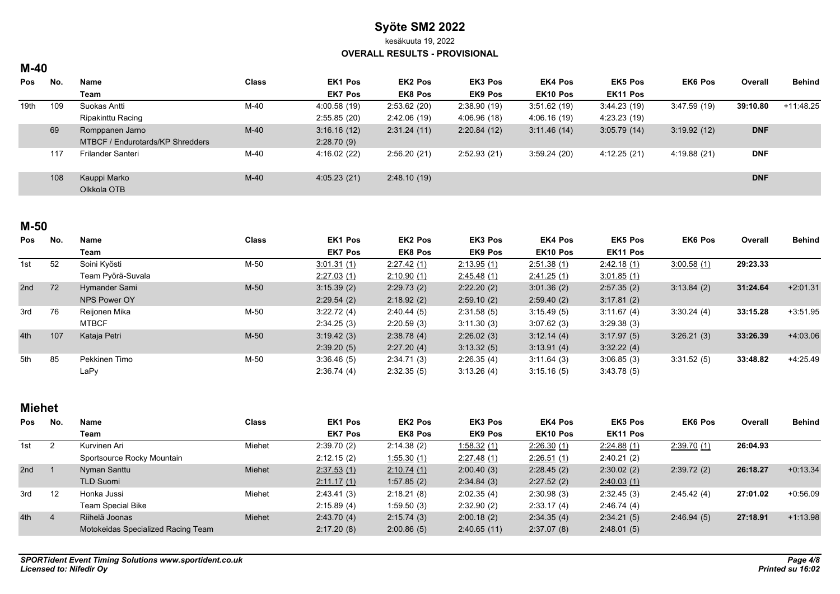kesäkuuta 19, 2022

**OVERALL RESULTS - PROVISIONAL**

## **M-40**

| <b>Pos</b> | No. | Name                             | <b>Class</b> | <b>EK1 Pos</b> | EK2 Pos        | <b>EK3 Pos</b> | <b>EK4 Pos</b>       | <b>EK5 Pos</b> | <b>EK6 Pos</b> | Overall    | <b>Behind</b> |
|------------|-----|----------------------------------|--------------|----------------|----------------|----------------|----------------------|----------------|----------------|------------|---------------|
|            |     | Team                             |              | <b>EK7 Pos</b> | <b>EK8 Pos</b> | <b>EK9 Pos</b> | EK <sub>10</sub> Pos | EK11 Pos       |                |            |               |
| 19th       | 109 | Suokas Antti                     | M-40         | 4:00.58(19)    | 2:53.62(20)    | 2:38.90(19)    | 3.51.62(19)          | 3.44.23(19)    | 3.47.59(19)    | 39:10.80   | $+11.48.25$   |
|            |     | Ripakinttu Racing                |              | 2:55.85(20)    | 2:42.06(19)    | 4:06.96(18)    | 4:06.16 (19)         | 4:23.23 (19)   |                |            |               |
|            | 69  | Romppanen Jarno                  | $M-40$       | 3:16.16(12)    | 2:31.24(11)    | 2:20.84(12)    | 3:11.46(14)          | 3.05.79(14)    | 3:19.92(12)    | <b>DNF</b> |               |
|            |     | MTBCF / Endurotards/KP Shredders |              | 2:28.70(9)     |                |                |                      |                |                |            |               |
|            | 117 | Frilander Santeri                | M-40         | 4:16.02(22)    | 2:56.20(21)    | 2:52.93(21)    | 3:59.24(20)          | 4:12.25 (21)   | 4:19.88 (21)   | <b>DNF</b> |               |
|            |     |                                  |              |                |                |                |                      |                |                |            |               |
|            | 108 | Kauppi Marko                     | $M-40$       | 4:05.23(21)    | 2:48.10(19)    |                |                      |                |                | <b>DNF</b> |               |
|            |     | Olkkola OTB                      |              |                |                |                |                      |                |                |            |               |

## **M-50**

| Pos | No. | Name              | <b>Class</b> | <b>EK1 Pos</b> | <b>EK2 Pos</b> | <b>EK3 Pos</b> | <b>EK4 Pos</b>     | <b>EK5 Pos</b> | <b>EK6 Pos</b> | Overall  | <b>Behind</b> |
|-----|-----|-------------------|--------------|----------------|----------------|----------------|--------------------|----------------|----------------|----------|---------------|
|     |     | Team              |              | <b>EK7 Pos</b> | <b>EK8 Pos</b> | <b>EK9 Pos</b> | EK10 Pos           | EK11 Pos       |                |          |               |
| 1st | 52  | Soini Kyösti      | M-50         | 3.01.31(1)     | 2:27.42 (1)    | 2:13.95(1)     | <u>2.51.38 (1)</u> | 2.42.18(1)     | 3.00.58(1)     | 29:23.33 |               |
|     |     | Team Pyörä-Suvala |              | 2:27.03(1)     | 2:10.90(1)     | 2.45.48(1)     | <u>2.41.25 (1)</u> | 3.01.85(1)     |                |          |               |
| 2nd | 72  | Hymander Sami     | $M-50$       | 3:15.39(2)     | 2:29.73(2)     | 2:22.20(2)     | 3:01.36(2)         | 2:57.35(2)     | 3:13.84(2)     | 31:24.64 | $+2:01.31$    |
|     |     | NPS Power OY      |              | 2:29.54(2)     | 2:18.92(2)     | 2:59.10(2)     | 2:59.40(2)         | 3:17.81(2)     |                |          |               |
| 3rd | 76  | Reiionen Mika     | M-50         | 3:22.72(4)     | 2:40.44(5)     | 2:31.58(5)     | 3:15.49(5)         | 3:11.67(4)     | 3:30.24(4)     | 33:15.28 | $+3:51.95$    |
|     |     | <b>MTBCF</b>      |              | 2:34.25(3)     | 2:20.59(3)     | 3:11.30(3)     | 3:07.62(3)         | 3:29.38(3)     |                |          |               |
| 4th | 107 | Kataja Petri      | $M-50$       | 3.19.42(3)     | 2:38.78(4)     | 2:26.02(3)     | 3:12.14(4)         | 3.17.97(5)     | 3:26.21(3)     | 33:26.39 | $+4.03.06$    |
|     |     |                   |              | 2:39.20(5)     | 2:27.20(4)     | 3:13.32(5)     | 3.13.91(4)         | 3:32.22(4)     |                |          |               |
| 5th | 85  | Pekkinen Timo     | M-50         | 3:36.46(5)     | 2:34.71(3)     | 2:26.35(4)     | 3:11.64(3)         | 3.06.85(3)     | 3:31.52(5)     | 33:48.82 | +4:25.49      |
|     |     | LaPy              |              | 2:36.74(4)     | 2:32.35(5)     | 3.13.26(4)     | 3:15.16(5)         | 3.43.78(5)     |                |          |               |

# **Miehet**

| <b>Pos</b>      | No. | <b>Name</b>                        | <b>Class</b> | EK1 Pos        | <b>EK2 Pos</b>     | EK3 Pos        | <b>EK4 Pos</b> | <b>EK5 Pos</b> | EK6 Pos     | Overall  | <b>Behind</b> |
|-----------------|-----|------------------------------------|--------------|----------------|--------------------|----------------|----------------|----------------|-------------|----------|---------------|
|                 |     | Team                               |              | <b>EK7 Pos</b> | <b>EK8 Pos</b>     | <b>EK9 Pos</b> | EK10 Pos       | EK11 Pos       |             |          |               |
| 1st             |     | Kurvinen Ari                       | Miehet       | 2:39.70(2)     | 2:14.38(2)         | 1.58.32(1)     | 2:26.30(1)     | 2.24.88(1)     | 2.39.70 (1) | 26:04.93 |               |
|                 |     | Sportsource Rocky Mountain         |              | 2:12.15(2)     | <u>1.55.30 (1)</u> | 2.27.48(1)     | 2:26.51(1)     | 2:40.21(2)     |             |          |               |
| 2 <sub>nd</sub> |     | Nyman Santtu                       | Miehet       | 2.37.53(1)     | 2:10.74(1)         | 2:00.40(3)     | 2:28.45(2)     | 2:30.02(2)     | 2:39.72(2)  | 26:18.27 | $+0.13.34$    |
|                 |     | <b>TLD Suomi</b>                   |              | 2.11.17(1)     | 1:57.85(2)         | 2:34.84(3)     | 2:27.52(2)     | 2.40.03(1)     |             |          |               |
| 3rd             | 12  | Honka Jussi                        | Miehet       | 2:43.41(3)     | 2:18.21(8)         | 2:02.35(4)     | 2:30.98(3)     | 2:32.45(3)     | 2.45.42(4)  | 27:01.02 | $+0.56.09$    |
|                 |     | <b>Team Special Bike</b>           |              | 2:15.89(4)     | 1:59.50 (3)        | 2:32.90(2)     | 2:33.17(4)     | 2.46.74(4)     |             |          |               |
| 4th             |     | Riihelä Joonas                     | Miehet       | 2:43.70(4)     | 2:15.74(3)         | 2:00.18(2)     | 2:34.35(4)     | 2:34.21(5)     | 2:46.94(5)  | 27:18.91 | $+1:13.98$    |
|                 |     | Motokeidas Specialized Racing Team |              | 2:17.20(8)     | 2:00.86(5)         | 2:40.65(11)    | 2:37.07(8)     | 2:48.01(5)     |             |          |               |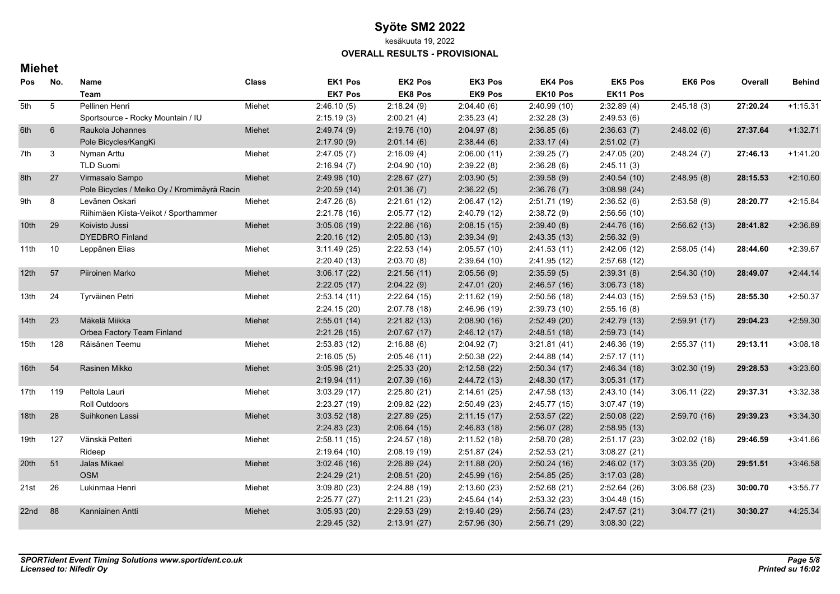kesäkuuta 19, 2022

#### **OVERALL RESULTS - PROVISIONAL**

## **Miehet**

| Pos              | No.            | Name                                        | <b>Class</b> | EK1 Pos        | EK2 Pos     | EK3 Pos        | <b>EK4 Pos</b> | <b>EK5 Pos</b> | <b>EK6 Pos</b> | Overall  | <b>Behind</b> |
|------------------|----------------|---------------------------------------------|--------------|----------------|-------------|----------------|----------------|----------------|----------------|----------|---------------|
|                  |                | Team                                        |              | <b>EK7 Pos</b> | EK8 Pos     | <b>EK9 Pos</b> | EK10 Pos       | EK11 Pos       |                |          |               |
| 5th              | 5              | Pellinen Henri                              | Miehet       | 2:46.10(5)     | 2:18.24(9)  | 2:04.40(6)     | 2:40.99(10)    | 2:32.89(4)     | 2:45.18(3)     | 27:20.24 | $+1:15.31$    |
|                  |                | Sportsource - Rocky Mountain / IU           |              | 2:15.19(3)     | 2:00.21(4)  | 2:35.23(4)     | 2:32.28(3)     | 2:49.53(6)     |                |          |               |
| 6th              | $6\phantom{1}$ | Raukola Johannes                            | Miehet       | 2:49.74(9)     | 2:19.76(10) | 2:04.97(8)     | 2:36.85(6)     | 2:36.63(7)     | 2.48.02(6)     | 27:37.64 | $+1:32.71$    |
|                  |                | Pole Bicycles/KangKi                        |              | 2:17.90(9)     | 2:01.14(6)  | 2:38.44(6)     | 2:33.17(4)     | 2:51.02(7)     |                |          |               |
| 7th              | 3              | Nyman Arttu                                 | Miehet       | 2:47.05(7)     | 2:16.09(4)  | 2:06.00(11)    | 2:39.25(7)     | 2:47.05(20)    | 2.48.24(7)     | 27:46.13 | $+1.41.20$    |
|                  |                | <b>TLD Suomi</b>                            |              | 2:16.94(7)     | 2:04.90(10) | 2:39.22(8)     | 2:36.28(6)     | 2:45.11(3)     |                |          |               |
| 8th              | 27             | Virmasalo Sampo                             | Miehet       | 2:49.98(10)    | 2:28.67(27) | 2:03.90(5)     | 2:39.58(9)     | 2:40.54(10)    | 2.48.95(8)     | 28:15.53 | $+2:10.60$    |
|                  |                | Pole Bicycles / Meiko Oy / Kromimäyrä Racin |              | 2:20.59(14)    | 2:01.36(7)  | 2:36.22(5)     | 2:36.76(7)     | 3.08.98(24)    |                |          |               |
| 9th              | 8              | Levänen Oskari                              | Miehet       | 2:47.26(8)     | 2:21.61(12) | 2:06.47(12)    | 2:51.71 (19)   | 2:36.52(6)     | 2:53.58(9)     | 28:20.77 | $+2:15.84$    |
|                  |                | Riihimäen Kiista-Veikot / Sporthammer       |              | 2:21.78 (16)   | 2:05.77(12) | 2:40.79 (12)   | 2:38.72(9)     | 2:56.56(10)    |                |          |               |
| 10 <sup>th</sup> | 29             | Koivisto Jussi                              | Miehet       | 3:05.06(19)    | 2:22.86(16) | 2:08.15(15)    | 2:39.40(8)     | 2:44.76(16)    | 2:56.62(13)    | 28:41.82 | $+2:36.89$    |
|                  |                | <b>DYEDBRO Finland</b>                      |              | 2:20.16(12)    | 2:05.80(13) | 2:39.34(9)     | 2:43.35(13)    | 2:56.32(9)     |                |          |               |
| 11th             | 10             | Leppänen Elias                              | Miehet       | 3:11.49(25)    | 2:22.53(14) | 2:05.57(10)    | 2.41.53(11)    | 2:42.06(12)    | 2.58.05(14)    | 28:44.60 | $+2:39.67$    |
|                  |                |                                             |              | 2:20.40(13)    | 2:03.70(8)  | 2:39.64(10)    | 2:41.95 (12)   | 2:57.68(12)    |                |          |               |
| 12th             | 57             | Piiroinen Marko                             | Miehet       | 3:06.17(22)    | 2:21.56(11) | 2:05.56(9)     | 2:35.59(5)     | 2:39.31(8)     | 2:54.30(10)    | 28:49.07 | $+2.44.14$    |
|                  |                |                                             |              | 2:22.05(17)    | 2:04.22(9)  | 2.47.01(20)    | 2:46.57(16)    | 3:06.73(18)    |                |          |               |
| 13th             | 24             | Tyrväinen Petri                             | Miehet       | 2:53.14(11)    | 2:22.64(15) | 2:11.62(19)    | 2:50.56(18)    | 2:44.03(15)    | 2:59.53(15)    | 28:55.30 | $+2:50.37$    |
|                  |                |                                             |              | 2:24.15(20)    | 2:07.78(18) | 2:46.96 (19)   | 2:39.73(10)    | 2:55.16(8)     |                |          |               |
| 14th             | 23             | Mäkelä Miikka                               | Miehet       | 2:55.01(14)    | 2:21.82(13) | 2:08.90(16)    | 2.52.49(20)    | 2:42.79(13)    | 2:59.91(17)    | 29:04.23 | $+2:59.30$    |
|                  |                | Orbea Factory Team Finland                  |              | 2:21.28(15)    | 2:07.67(17) | 2.46.12(17)    | 2:48.51(18)    | 2:59.73(14)    |                |          |               |
| 15 <sub>th</sub> | 128            | Räisänen Teemu                              | Miehet       | 2:53.83(12)    | 2:16.88(6)  | 2:04.92(7)     | 3:21.81(41)    | 2:46.36(19)    | 2:55.37(11)    | 29:13.11 | $+3:08.18$    |
|                  |                |                                             |              | 2:16.05(5)     | 2:05.46(11) | 2:50.38 (22)   | 2:44.88(14)    | 2:57.17(11)    |                |          |               |
| 16th             | 54             | Rasinen Mikko                               | Miehet       | 3:05.98(21)    | 2:25.33(20) | 2:12.58(22)    | 2:50.34(17)    | 2:46.34(18)    | 3.02.30(19)    | 29:28.53 | $+3:23.60$    |
|                  |                |                                             |              | 2:19.94(11)    | 2:07.39(16) | 2:44.72(13)    | 2:48.30(17)    | 3:05.31(17)    |                |          |               |
| 17th             | 119            | Peltola Lauri                               | Miehet       | 3:03.29(17)    | 2:25.80(21) | 2:14.61(25)    | 2:47.58 (13)   | 2:43.10(14)    | 3.06.11(22)    | 29:37.31 | $+3:32.38$    |
|                  |                | <b>Roll Outdoors</b>                        |              | 2:23.27(19)    | 2:09.82(22) | 2:50.49(23)    | 2:45.77 (15)   | 3.07.47(19)    |                |          |               |
| 18th             | 28             | Suihkonen Lassi                             | Miehet       | 3:03.52(18)    | 2:27.89(25) | 2:11.15(17)    | 2:53.57(22)    | 2:50.08(22)    | 2:59.70(16)    | 29:39.23 | $+3:34.30$    |
|                  |                |                                             |              | 2:24.83(23)    | 2:06.64(15) | 2:46.83(18)    | 2:56.07(28)    | 2:58.95(13)    |                |          |               |
| 19th             | 127            | Vänskä Petteri                              | Miehet       | 2:58.11(15)    | 2:24.57(18) | 2:11.52(18)    | 2:58.70 (28)   | 2:51.17(23)    | 3:02.02(18)    | 29:46.59 | $+3:41.66$    |
|                  |                | Rideep                                      |              | 2:19.64(10)    | 2:08.19(19) | 2:51.87(24)    | 2:52.53(21)    | 3:08.27(21)    |                |          |               |
| 20th             | 51             | Jalas Mikael                                | Miehet       | 3:02.46(16)    | 2:26.89(24) | 2.11.88(20)    | 2.50.24(16)    | 2:46.02(17)    | 3.03.35(20)    | 29:51.51 | $+3.46.58$    |
|                  |                | <b>OSM</b>                                  |              | 2:24.29(21)    | 2:08.51(20) | 2:45.99(16)    | 2:54.85(25)    | 3:17.03(28)    |                |          |               |
| 21st             | 26             | Lukinmaa Henri                              | Miehet       | 3:09.80(23)    | 2:24.88(19) | 2:13.60(23)    | 2:52.68(21)    | 2:52.64(26)    | 3:06.68(23)    | 30:00.70 | $+3:55.77$    |
|                  |                |                                             |              | 2:25.77(27)    | 2:11.21(23) | 2:45.64(14)    | 2:53.32(23)    | 3.04.48(15)    |                |          |               |
| 22nd             | 88             | Kanniainen Antti                            | Miehet       | 3:05.93(20)    | 2:29.53(29) | 2:19.40(29)    | 2:56.74(23)    | 2.47.57(21)    | 3.04.77(21)    | 30:30.27 | $+4:25.34$    |
|                  |                |                                             |              | 2:29.45(32)    | 2:13.91(27) | 2:57.96(30)    | 2:56.71(29)    | 3:08.30(22)    |                |          |               |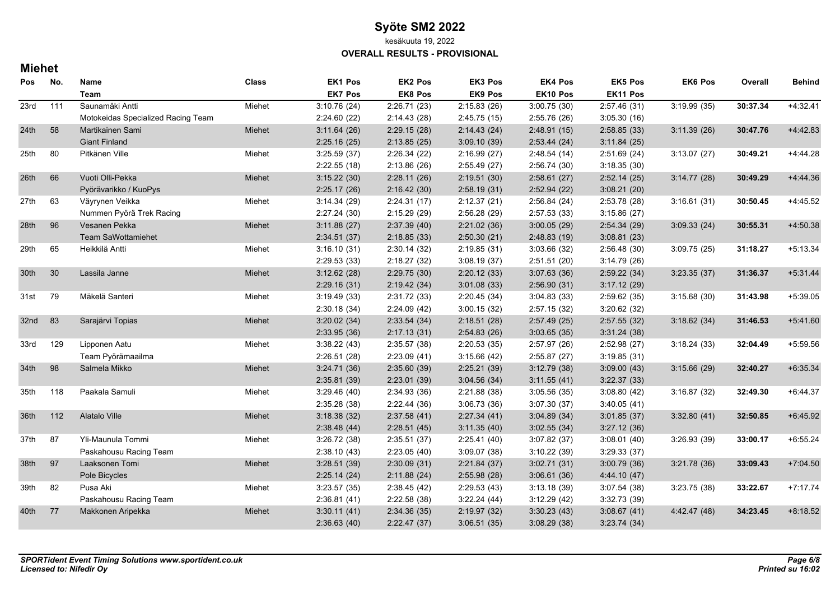kesäkuuta 19, 2022

**OVERALL RESULTS - PROVISIONAL**

## **Miehet**

| Pos              | No. | Name                               | <b>Class</b> | <b>EK1 Pos</b> | EK2 Pos     | EK3 Pos        | <b>EK4 Pos</b> | <b>EK5 Pos</b> | <b>EK6 Pos</b> | Overall  | <b>Behind</b> |
|------------------|-----|------------------------------------|--------------|----------------|-------------|----------------|----------------|----------------|----------------|----------|---------------|
|                  |     | Team                               |              | <b>EK7 Pos</b> | EK8 Pos     | <b>EK9 Pos</b> | EK10 Pos       | EK11 Pos       |                |          |               |
| 23rd             | 111 | Saunamäki Antti                    | Miehet       | 3:10.76(24)    | 2:26.71(23) | 2:15.83(26)    | 3:00.75(30)    | 2:57.46(31)    | 3:19.99(35)    | 30:37.34 | $+4.32.41$    |
|                  |     | Motokeidas Specialized Racing Team |              | 2:24.60 (22)   | 2:14.43(28) | 2:45.75(15)    | 2:55.76(26)    | 3:05.30(16)    |                |          |               |
| 24 <sub>th</sub> | 58  | Martikainen Sami                   | Miehet       | 3:11.64(26)    | 2:29.15(28) | 2:14.43(24)    | 2:48.91(15)    | 2:58.85(33)    | 3:11.39(26)    | 30:47.76 | +4:42.83      |
|                  |     | <b>Giant Finland</b>               |              | 2:25.16(25)    | 2:13.85(25) | 3:09.10(39)    | 2:53.44(24)    | 3:11.84(25)    |                |          |               |
| 25th             | 80  | Pitkänen Ville                     | Miehet       | 3:25.59(37)    | 2:26.34(22) | 2:16.99(27)    | 2:48.54(14)    | 2:51.69(24)    | 3.13.07(27)    | 30:49.21 | +4:44.28      |
|                  |     |                                    |              | 2:22.55(18)    | 2:13.86(26) | 2:55.49(27)    | 2:56.74(30)    | 3:18.35(30)    |                |          |               |
| 26th             | 66  | Vuoti Olli-Pekka                   | Miehet       | 3:15.22(30)    | 2:28.11(26) | 2:19.51(30)    | 2:58.61(27)    | 2:52.14(25)    | 3.14.77(28)    | 30:49.29 | +4:44.36      |
|                  |     | Pyörävarikko / KuoPys              |              | 2:25.17(26)    | 2:16.42(30) | 2:58.19(31)    | 2:52.94(22)    | 3:08.21(20)    |                |          |               |
| 27th             | 63  | Väyrynen Veikka                    | Miehet       | 3:14.34(29)    | 2:24.31(17) | 2:12.37(21)    | 2:56.84(24)    | 2:53.78 (28)   | 3:16.61(31)    | 30:50.45 | +4:45.52      |
|                  |     | Nummen Pyörä Trek Racing           |              | 2:27.24 (30)   | 2:15.29(29) | 2:56.28(29)    | 2:57.53 (33)   | 3:15.86(27)    |                |          |               |
| 28th             | 96  | Vesanen Pekka                      | Miehet       | 3:11.88(27)    | 2:37.39(40) | 2:21.02(36)    | 3:00.05(29)    | 2:54.34(29)    | 3.09.33(24)    | 30:55.31 | $+4:50.38$    |
|                  |     | Team SaWottamiehet                 |              | 2:34.51(37)    | 2:18.85(33) | 2:50.30(21)    | 2:48.83 (19)   | 3:08.81(23)    |                |          |               |
| 29th             | 65  | Heikkilä Antti                     | Miehet       | 3:16.10(31)    | 2:30.14(32) | 2:19.85(31)    | 3:03.66(32)    | 2:56.48(30)    | 3.09.75(25)    | 31:18.27 | $+5:13.34$    |
|                  |     |                                    |              | 2:29.53(33)    | 2:18.27(32) | 3.08.19(37)    | 2:51.51(20)    | 3:14.79(26)    |                |          |               |
| 30th             | 30  | Lassila Janne                      | Miehet       | 3:12.62(28)    | 2:29.75(30) | 2:20.12(33)    | 3.07.63(36)    | 2:59.22(34)    | 3:23.35(37)    | 31:36.37 | $+5.31.44$    |
|                  |     |                                    |              | 2:29.16(31)    | 2:19.42(34) | 3:01.08(33)    | 2:56.90(31)    | 3:17.12(29)    |                |          |               |
| 31st             | 79  | Mäkelä Santeri                     | Miehet       | 3:19.49(33)    | 2:31.72(33) | 2:20.45(34)    | 3:04.83(33)    | 2:59.62(35)    | 3:15.68(30)    | 31:43.98 | $+5:39.05$    |
|                  |     |                                    |              | 2:30.18(34)    | 2:24.09(42) | 3:00.15(32)    | 2:57.15(32)    | 3:20.62(32)    |                |          |               |
| 32nd             | 83  | Sarajärvi Topias                   | Miehet       | 3:20.02(34)    | 2:33.54(34) | 2:18.51(28)    | 2:57.49(25)    | 2:57.55(32)    | 3:18.62(34)    | 31:46.53 | $+5.41.60$    |
|                  |     |                                    |              | 2:33.95(36)    | 2:17.13(31) | 2:54.83(26)    | 3.03.65(35)    | 3:31.24(38)    |                |          |               |
| 33rd             | 129 | Lipponen Aatu                      | Miehet       | 3:38.22(43)    | 2:35.57(38) | 2:20.53(35)    | 2:57.97 (26)   | 2:52.98(27)    | 3:18.24(33)    | 32:04.49 | $+5:59.56$    |
|                  |     | Team Pyörämaailma                  |              | 2:26.51(28)    | 2:23.09(41) | 3:15.66(42)    | 2:55.87(27)    | 3:19.85(31)    |                |          |               |
| 34th             | 98  | Salmela Mikko                      | Miehet       | 3:24.71(36)    | 2:35.60(39) | 2:25.21(39)    | 3:12.79(38)    | 3:09.00(43)    | 3.15.66(29)    | 32:40.27 | $+6:35.34$    |
|                  |     |                                    |              | 2:35.81(39)    | 2:23.01(39) | 3.04.56(34)    | 3:11.55(41)    | 3:22.37(33)    |                |          |               |
| 35th             | 118 | Paakala Samuli                     | Miehet       | 3:29.46(40)    | 2:34.93(36) | 2:21.88(38)    | 3:05.56(35)    | 3:08.80(42)    | 3:16.87(32)    | 32:49.30 | $+6.44.37$    |
|                  |     |                                    |              | 2:35.28(38)    | 2:22.44(36) | 3:06.73(36)    | 3:07.30(37)    | 3:40.05(41)    |                |          |               |
| 36th             | 112 | Alatalo Ville                      | Miehet       | 3:18.38(32)    | 2:37.58(41) | 2:27.34(41)    | 3.04.89(34)    | 3:01.85(37)    | 3:32.80(41)    | 32:50.85 | $+6.45.92$    |
|                  |     |                                    |              | 2:38.48(44)    | 2:28.51(45) | 3:11.35(40)    | 3:02.55(34)    | 3:27.12(36)    |                |          |               |
| 37th             | 87  | Yli-Maunula Tommi                  | Miehet       | 3:26.72(38)    | 2:35.51(37) | 2:25.41(40)    | 3:07.82(37)    | 3:08.01(40)    | 3:26.93(39)    | 33:00.17 | $+6:55.24$    |
|                  |     | Paskahousu Racing Team             |              | 2:38.10(43)    | 2:23.05(40) | 3:09.07(38)    | 3:10.22(39)    | 3:29.33(37)    |                |          |               |
| 38th             | 97  | Laaksonen Tomi                     | Miehet       | 3:28.51(39)    | 2:30.09(31) | 2:21.84(37)    | 3.02.71(31)    | 3:00.79(36)    | 3.21.78(36)    | 33:09.43 | $+7:04.50$    |
|                  |     | Pole Bicycles                      |              | 2:25.14(24)    | 2:11.88(24) | 2:55.98(28)    | 3.06.61(36)    | 4:44.10 (47)   |                |          |               |
| 39th             | 82  | Pusa Aki                           | Miehet       | 3:23.57(35)    | 2:38.45(42) | 2:29.53(43)    | 3:13.18(39)    | 3:07.54(38)    | 3:23.75(38)    | 33:22.67 | $+7:17.74$    |
|                  |     | Paskahousu Racing Team             |              | 2:36.81(41)    | 2:22.58(38) | 3:22.24(44)    | 3:12.29(42)    | 3:32.73(39)    |                |          |               |
| 40th             | 77  | Makkonen Aripekka                  | Miehet       | 3:30.11(41)    | 2:34.36(35) | 2:19.97(32)    | 3:30.23(43)    | 3:08.67(41)    | 4:42.47 (48)   | 34:23.45 | $+8:18.52$    |
|                  |     |                                    |              | 2:36.63(40)    | 2:22.47(37) | 3.06.51(35)    | 3:08.29(38)    | 3:23.74(34)    |                |          |               |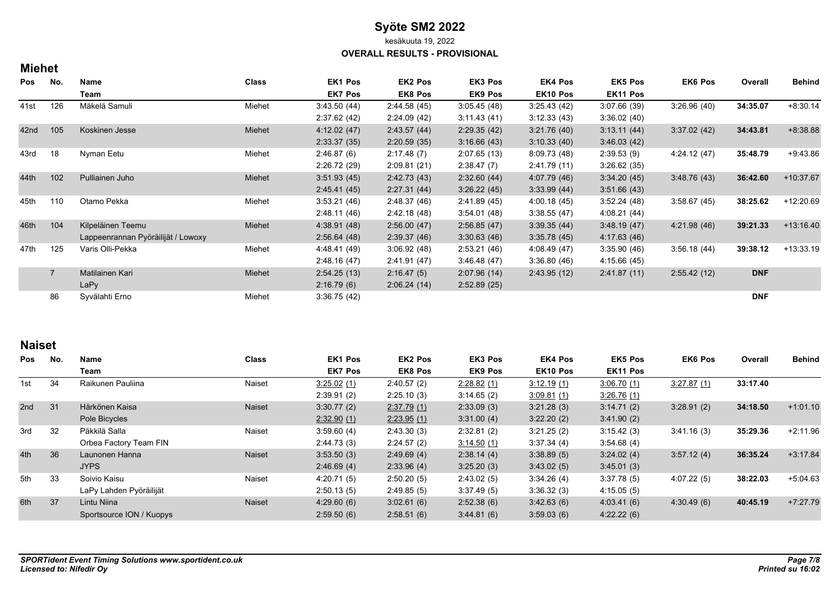kesäkuuta 19, 2022

**OVERALL RESULTS - PROVISIONAL**

## **Miehet**

| Pos  | No.            | Name                               | <b>Class</b> | EK1 Pos        | EK2 Pos        | EK3 Pos        | EK4 Pos      | <b>EK5 Pos</b> | <b>EK6 Pos</b> | Overall    | <b>Behind</b> |
|------|----------------|------------------------------------|--------------|----------------|----------------|----------------|--------------|----------------|----------------|------------|---------------|
|      |                | Team                               |              | <b>EK7 Pos</b> | <b>EK8 Pos</b> | <b>EK9 Pos</b> | EK10 Pos     | EK11 Pos       |                |            |               |
| 41st | 126            | Mäkelä Samuli                      | Miehet       | 3.43.50(44)    | 2:44.58(45)    | 3:05.45(48)    | 3:25.43(42)  | 3.07.66(39)    | 3:26.96(40)    | 34:35.07   | $+8:30.14$    |
|      |                |                                    |              | 2:37.62(42)    | 2:24.09(42)    | 3:11.43(41)    | 3:12.33(43)  | 3:36.02(40)    |                |            |               |
| 42nd | 105            | Koskinen Jesse                     | Miehet       | 4:12.02(47)    | 2:43.57(44)    | 2:29.35(42)    | 3:21.76(40)  | 3:13.11(44)    | 3:37.02(42)    | 34:43.81   | $+8.38.88$    |
|      |                |                                    |              | 2:33.37(35)    | 2:20.59(35)    | 3.16.66(43)    | 3:10.33(40)  | 3.46.03(42)    |                |            |               |
| 43rd | 18             | Nyman Eetu                         | Miehet       | 2:46.87(6)     | 2:17.48(7)     | 2:07.65(13)    | 8.09.73(48)  | 2:39.53(9)     | 4:24.12(47)    | 35:48.79   | $+9:43.86$    |
|      |                |                                    |              | 2:26.72(29)    | 2:09.81(21)    | 2:38.47(7)     | 2:41.79 (11) | 3:26.62(35)    |                |            |               |
| 44th | 102            | Pulliainen Juho                    | Miehet       | 3:51.93(45)    | 2.42.73(43)    | 2.32.60(44)    | 4:07.79 (46) | 3:34.20(45)    | 3.48.76(43)    | 36:42.60   | $+10.37.67$   |
|      |                |                                    |              | 2:45.41(45)    | 2:27.31(44)    | 3:26.22(45)    | 3.33.99(44)  | 3.51.66(43)    |                |            |               |
| 45th | 110            | Otamo Pekka                        | Miehet       | 3:53.21(46)    | 2:48.37 (46)   | 2:41.89 (45)   | 4.00.18(45)  | 3:52.24(48)    | 3:58.67(45)    | 38:25.62   | +12:20.69     |
|      |                |                                    |              | 2:48.11(46)    | 2:42.18 (48)   | 3:54.01(48)    | 3.38.55(47)  | 4:08.21 (44)   |                |            |               |
| 46th | 104            | Kilpeläinen Teemu                  | Miehet       | 4:38.91(48)    | 2:56.00(47)    | 2:56.85(47)    | 3.39.35(44)  | 3.48.19(47)    | 4:21.98 (46)   | 39:21.33   | $+13:16.40$   |
|      |                | Lappeenrannan Pyöräilijät / Lowoxy |              | 2:56.64(48)    | 2:39.37(46)    | 3:30.63(46)    | 3.35.78(45)  | 4:17.63(46)    |                |            |               |
| 47th | 125            | Varis Olli-Pekka                   | Miehet       | 4:48.41 (49)   | 3:06.92(48)    | 2:53.21(46)    | 4.08.49 (47) | 3.35.90(46)    | 3:56.18(44)    | 39:38.12   | $+13:33.19$   |
|      |                |                                    |              | 2:48.16(47)    | 2:41.91(47)    | 3.46.48(47)    | 3.36.80(46)  | 4:15.66(45)    |                |            |               |
|      | $\overline{7}$ | Matilainen Kari                    | Miehet       | 2:54.25(13)    | 2:16.47(5)     | 2:07.96(14)    | 2:43.95(12)  | 2:41.87(11)    | 2:55.42(12)    | <b>DNF</b> |               |
|      |                | LaPy                               |              | 2:16.79(6)     | 2:06.24(14)    | 2:52.89(25)    |              |                |                |            |               |
|      | 86             | Syvälahti Erno                     | Miehet       | 3:36.75(42)    |                |                |              |                |                | <b>DNF</b> |               |

## **Naiset**

| <b>Pos</b> | No.         | Name                     | <b>Class</b>  | <b>EK1 Pos</b> | <b>EK2 Pos</b> | EK3 Pos        | <b>EK4 Pos</b> | <b>EK5 Pos</b> | <b>EK6 Pos</b> | Overall    | <b>Behind</b> |
|------------|-------------|--------------------------|---------------|----------------|----------------|----------------|----------------|----------------|----------------|------------|---------------|
|            |             | Team                     |               | <b>EK7 Pos</b> | <b>EK8 Pos</b> | <b>EK9 Pos</b> | EK10 Pos       | EK11 Pos       |                |            |               |
| 1st        | 34          | Raikunen Pauliina        | Naiset        | 3:25.02(1)     | 2:40.57(2)     | 2:28.82(1)     | 3:12.19(1)     | 3:06.70(1)     | 3:27.87(1)     | 33:17.40   |               |
|            |             |                          |               | 2:39.91(2)     | 2:25.10(3)     | 3:14.65(2)     | 3.09.81(1)     | 3:26.76 (1)    |                |            |               |
| 2nd        | 31          | Härkönen Kaisa           | Naiset        | 3:30.77(2)     | 2:37.79(1)     | 2:33.09(3)     | 3:21.28(3)     | 3:14.71(2)     | 3:28.91(2)     | 34:18.50   | $+1:01.10$    |
|            |             | Pole Bicycles            |               | 2:32.90(1)     | 2.23.95(1)     | 3.31.00(4)     | 3:22.20(2)     | 3.41.90(2)     |                |            |               |
| 3rd        | 32          | Päkkilä Salla            | Naiset        | 3:59.60(4)     | 2:43.30(3)     | 2:32.81(2)     | 3:21.25(2)     | 3:15.42(3)     | 3:41.16(3)     | 35:29.36   | $+2:11.96$    |
|            |             | Orbea Factory Team FIN   |               | 2:44.73(3)     | 2:24.57(2)     | 3:14.50(1)     | 3:37.34(4)     | 3:54.68(4)     |                |            |               |
| 4th        | 36          | Launonen Hanna           | <b>Naiset</b> | 3:53.50(3)     | 2.49.69(4)     | 2:38.14(4)     | 3:38.89(5)     | 3:24.02(4)     | 3:57.12(4)     | 36:35.24   | $+3:17.84$    |
|            |             | <b>JYPS</b>              |               | 2:46.69(4)     | 2:33.96(4)     | 3:25.20(3)     | 3:43.02(5)     | 3:45.01(3)     |                |            |               |
| 5th        | 33          | Soivio Kaisu             | Naiset        | 4:20.71(5)     | 2:50.20(5)     | 2:43.02(5)     | 3:34.26(4)     | 3:37.78(5)     | 4:07.22(5)     | 38:22.03   | $+5.04.63$    |
|            |             | LaPy Lahden Pyöräilijät  |               | 2:50.13(5)     | 2:49.85(5)     | 3:37.49(5)     | 3:36.32(3)     | 4:15.05(5)     |                |            |               |
| 6th<br>37  | Lintu Niina | <b>Naiset</b>            | 4:29.60(6)    | 3:02.61(6)     | 2:52.38(6)     | 3.42.63(6)     | 4.03.41(6)     | 4:30.49(6)     | 40:45.19       | $+7:27.79$ |               |
|            |             | Sportsource ION / Kuopys |               | 2:59.50(6)     | 2:58.51(6)     | 3.44.81(6)     | 3.59.03(6)     | 4:22.22(6)     |                |            |               |